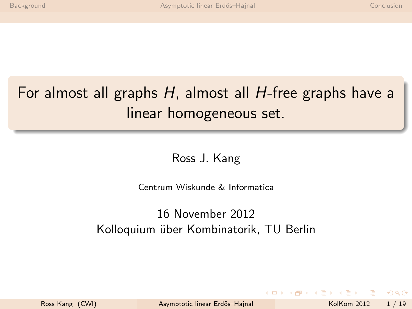# For almost all graphs  $H$ , almost all  $H$ -free graphs have a linear homogeneous set.

<span id="page-0-0"></span>Ross J. Kang

Centrum Wiskunde & Informatica

### 16 November 2012 Kolloquium über Kombinatorik, TU Berlin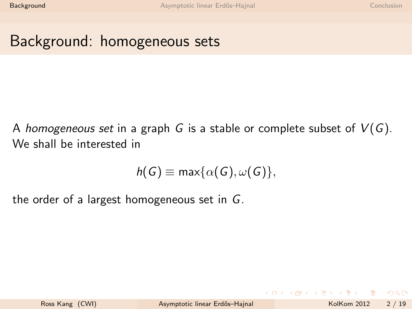### Background: homogeneous sets

A homogeneous set in a graph G is a stable or complete subset of  $V(G)$ . We shall be interested in

<span id="page-1-0"></span>
$$
h(G) \equiv \max\{\alpha(G), \omega(G)\},
$$

the order of a largest homogeneous set in G.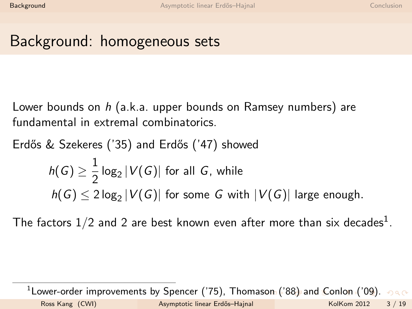## Background: homogeneous sets

Lower bounds on  $h$  (a.k.a. upper bounds on Ramsey numbers) are fundamental in extremal combinatorics.

Erdős & Szekeres ('35) and Erdős ('47) showed

$$
h(G) \ge \frac{1}{2} \log_2 |V(G)|
$$
 for all *G*, while  

$$
h(G) \le 2 \log_2 |V(G)|
$$
 for some *G* with  $|V(G)|$  large enough.

The factors  $1/2$  and 2 are best known even after more than six decades $^1$ .

<span id="page-2-0"></span> $^1$ Lower-order improvements by Spencer ('75), Thoma[son](#page-1-0) [\('](#page-3-0)[8](#page-1-0)[8\)](#page-2-0) [an](#page-3-0)[d](#page-0-0)[C](#page-10-0)[o](#page-1-0)[nl](#page-0-0)o[n](#page-10-0) [\(](#page-11-0)['09](#page-0-0)[\).](#page-26-0) Ross Kang (CWI) **Asymptotic linear Erdős–Hajnal** KolKom 2012 3 / 19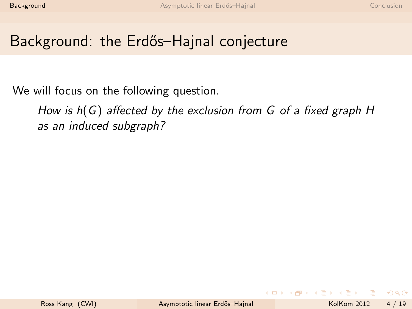We will focus on the following question.

<span id="page-3-0"></span>How is h(G) affected by the exclusion from G of a fixed graph H as an induced subgraph?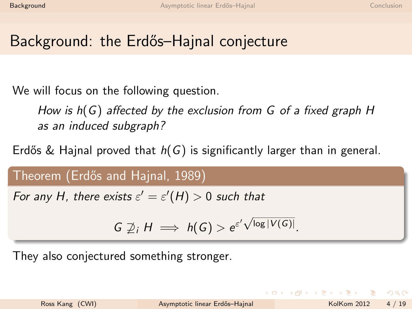We will focus on the following question.

How is h(G) affected by the exclusion from G of a fixed graph H as an induced subgraph?

Erdős & Hajnal proved that  $h(G)$  is significantly larger than in general.

Theorem (Erdős and Hajnal, 1989)

For any H, there exists  $\varepsilon' = \varepsilon'(H) > 0$  such that

$$
G \not\supseteq_i H \implies h(G) > e^{\varepsilon' \sqrt{\log |V(G)|}}.
$$

They also conjectured something stronger.

 $\Omega$ 

 $(1 - 1)$   $(1 - 1)$   $(1 - 1)$   $(1 - 1)$   $(1 - 1)$   $(1 - 1)$   $(1 - 1)$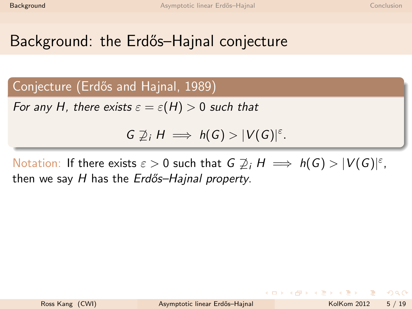Conjecture (Erdős and Hajnal, 1989)

For any H, there exists  $\varepsilon = \varepsilon(H) > 0$  such that

 $G \not\supseteq_i H \implies h(G) > |V(G)|^{\varepsilon}.$ 

Notation: If there exists  $\varepsilon > 0$  such that  $G \ncong_i H \implies h(G) > |V(G)|^{\varepsilon}$ , then we say  $H$  has the  $Erd\tilde{o}s$ -Hajnal property.

 $\Omega$ 

イロト イ何 トイヨ トイヨ トー ヨ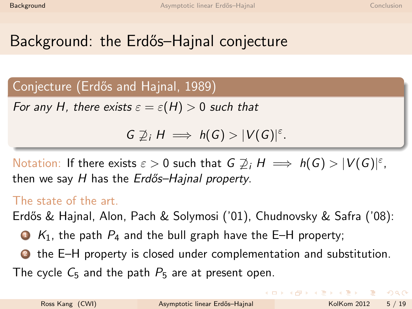Conjecture (Erdős and Hajnal, 1989)

For any H, there exists  $\varepsilon = \varepsilon(H) > 0$  such that

 $G \not\supseteq_i H \implies h(G) > |V(G)|^{\varepsilon}.$ 

Notation: If there exists  $\varepsilon > 0$  such that  $G \ncong_i H \implies h(G) > |V(G)|^{\varepsilon}$ , then we say  $H$  has the  $Erd\tilde{o}s$ -Hajnal property.

### The state of the art.

Erdős & Hajnal, Alon, Pach & Solymosi ('01), Chudnovsky & Safra ('08):

- $\bullet$  K<sub>1</sub>, the path  $P_4$  and the bull graph have the E–H property;
- <sup>2</sup> the E–H property is closed under complementation and substitution.

The cycle  $C_5$  and the path  $P_5$  are at present open.

K ロ ▶ K 個 ▶ K 로 ▶ K 로 ▶ 『로 『 YO Q @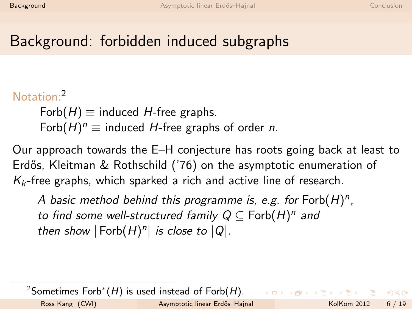### Notation:<sup>2</sup>

 $Forb(H) \equiv$  induced H-free graphs. Forb $(H)^n \equiv$  induced H-free graphs of order *n*.

Our approach towards the E–H conjecture has roots going back at least to Erdős, Kleitman & Rothschild ('76) on the asymptotic enumeration of  $K_k$ -free graphs, which sparked a rich and active line of research.

A basic method behind this programme is, e.g. for  $Forb(H)^n$ , to find some well-structured family  $Q \subseteq \mathsf{Forb}(H)^n$  and then show  $|Forb(H)^n|$  is close to  $|Q|$ .

 $^{2}$ Sometimes Forb $^{*}(H)$  is used instead of Forb $(H)$ .

 $\Omega$ 

イロト イ押 トイヨ トイヨ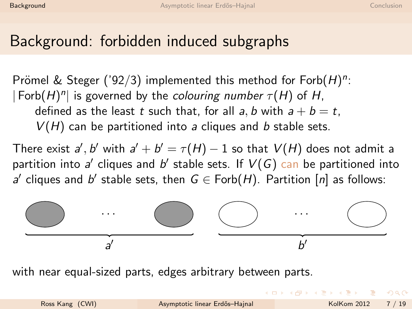Prömel & Steger ('92/3) implemented this method for  $Forb(H)^n$ :  $|\text{Forb}(H)^n|$  is governed by the *colouring number*  $\tau(H)$  of H, defined as the least t such that, for all a, b with  $a + b = t$ ,  $V(H)$  can be partitioned into a cliques and b stable sets.

There exist  $a',b'$  with  $a'+b'=\tau(H)-1$  so that  $V(H)$  does not admit a partition into a' cliques and b' stable sets. If  $V(G)$  can be partitioned into a' cliques and b' stable sets, then  $G \in \text{Forb}(H)$ . Partition  $[n]$  as follows:



with near equal-sized parts, edges arbitrary between parts.

 $\Omega$ 

 $(1 - 1)$   $(1 - 1)$   $(1 - 1)$   $(1 - 1)$   $(1 - 1)$   $(1 - 1)$   $(1 - 1)$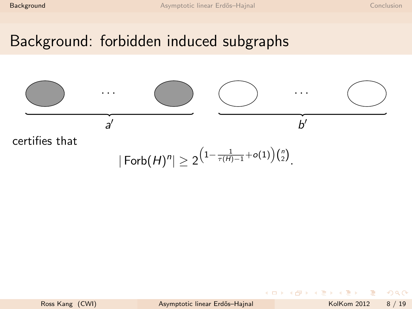

$$
|\operatorname{\mathsf{Forb}}(H)^n|\geq 2^{\left(1-\frac{1}{\tau(H)-1}+o(1)\right)\binom{n}{2}}.
$$

 $\leftarrow$ 

一本語

÷

 $2040$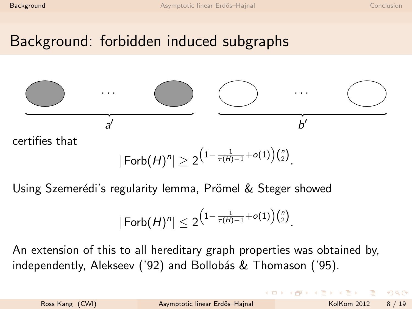

$$
|\operatorname{Forb}(H)^n| \geq 2^{\left(1 - \frac{1}{\tau(H) - 1} + o(1)\right)\binom{n}{2}}
$$

<span id="page-10-0"></span>.

Using Szemerédi's regularity lemma, Prömel & Steger showed

$$
|\operatorname{Forb}(H)^n|\leq 2^{\left(1-\frac{1}{\tau(H)-1}+o(1)\right)\binom{n}{2}}.
$$

An extension of this to all hereditary graph properties was obtained by, independently, Alekseev ('92) and Bollobás & Thomason ('95).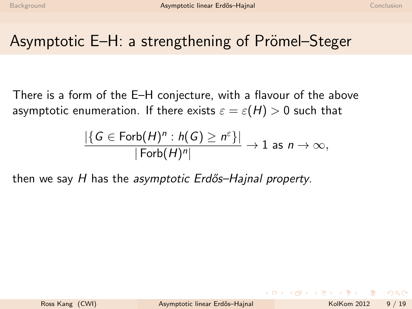## Asymptotic E–H: a strengthening of Prömel–Steger

There is a form of the E–H conjecture, with a flavour of the above asymptotic enumeration. If there exists  $\varepsilon = \varepsilon(H) > 0$  such that

<span id="page-11-0"></span>
$$
\frac{|\{G \in \text{Forb}(H)^n : h(G) \ge n^{\varepsilon}\}|}{|\text{Forb}(H)^n|} \to 1 \text{ as } n \to \infty,
$$

then we say  $H$  has the asymptotic Erdős–Hajnal property.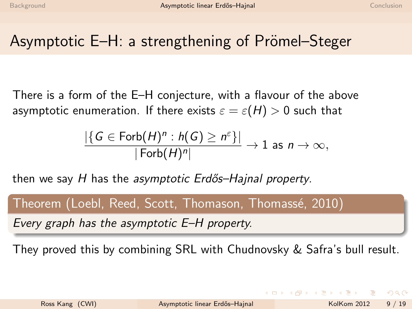## Asymptotic E–H: a strengthening of Prömel–Steger

There is a form of the E–H conjecture, with a flavour of the above asymptotic enumeration. If there exists  $\varepsilon = \varepsilon(H) > 0$  such that

$$
\frac{|\{G \in \text{Forb}(H)^n : h(G) \ge n^{\varepsilon}\}|}{|\text{Forb}(H)^n|} \to 1 \text{ as } n \to \infty,
$$

then we say  $H$  has the asymptotic Erdős–Hajnal property.

# Theorem (Loebl, Reed, Scott, Thomason, Thomassé, 2010) Every graph has the asymptotic E–H property.

They proved this by combining SRL with Chudnovsky & Safra's bull result.

 $\Omega$ 

イロト イ押ト イヨト イヨト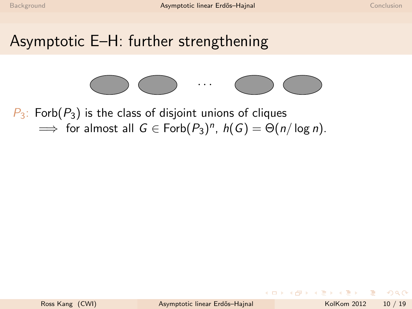

 $P_3$ : Forb $(P_3)$  is the class of disjoint unions of cliques  $\implies$  for almost all  $G \in \text{Forb}(P_3)^n$ ,  $h(G) = \Theta(n/\log n)$ .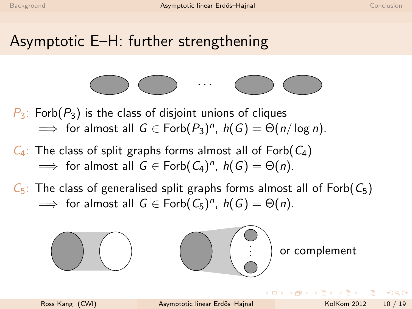

 $P_3$ : Forb $(P_3)$  is the class of disjoint unions of cliques  $\implies$  for almost all  $G \in \text{Forb}(P_3)^n$ ,  $h(G) = \Theta(n/\log n)$ .

- $C_4$ : The class of split graphs forms almost all of Forb $(C_4)$  $\implies$  for almost all  $G \in \text{Forb}(C_4)^n$ ,  $h(G) = \Theta(n)$ .
- $C_5$ : The class of generalised split graphs forms almost all of Forb $(C_5)$  $\implies$  for almost all  $G \in \text{Forb}(C_5)^n$ ,  $h(G) = \Theta(n)$ .



つへへ

 $\mathcal{A} \cap \mathcal{B} \rightarrow \mathcal{A} \ni \mathcal{B} \rightarrow \mathcal{A} \ni \mathcal{B}$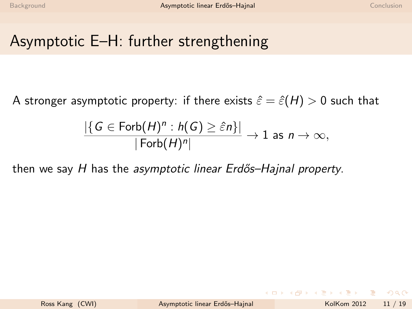A stronger asymptotic property: if there exists  $\hat{\varepsilon} = \hat{\varepsilon}(H) > 0$  such that

$$
\frac{|\{G \in \text{Forb}(H)^n : h(G) \geq \hat{\varepsilon}n\}|}{|\text{Forb}(H)^n|} \to 1 \text{ as } n \to \infty,
$$

then we say  $H$  has the asymptotic linear Erdős–Hajnal property.

 $\Omega$ 

イロト イ押ト イヨト イヨト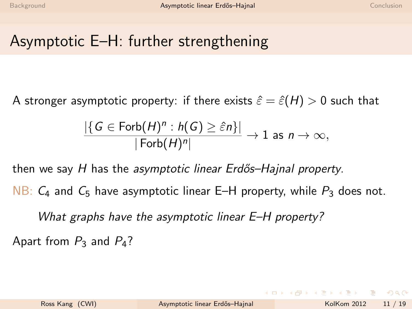A stronger asymptotic property: if there exists  $\hat{\varepsilon} = \hat{\varepsilon}(H) > 0$  such that

$$
\frac{|\{G \in \text{Forb}(H)^n : h(G) \geq \hat{\varepsilon}n\}|}{|\text{Forb}(H)^n|} \to 1 \text{ as } n \to \infty,
$$

then we say  $H$  has the asymptotic linear Erdős–Hajnal property.

NB:  $C_4$  and  $C_5$  have asymptotic linear E–H property, while  $P_3$  does not.

What graphs have the asymptotic linear E–H property?

Apart from  $P_3$  and  $P_4$ ?

KET KEN KEN (EN 1900)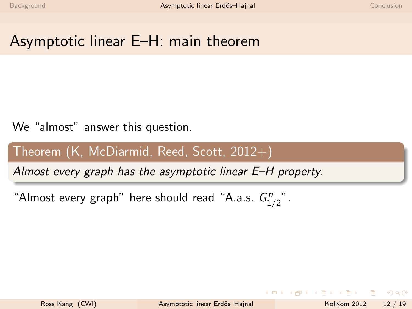## Asymptotic linear E–H: main theorem

### We "almost" answer this question.

### Theorem  $(K, McDiarmid, Reed, Scott, 2012+)$

Almost every graph has the asymptotic linear E–H property.

"Almost every graph" here should read "A.a.s.  $G_{1/2}^n$ ".

 $\Omega$ 

 $\mathcal{A} \oplus \mathcal{B} \rightarrow \mathcal{A} \oplus \mathcal{B} \rightarrow \mathcal{A} \oplus \mathcal{B} \rightarrow \mathcal{B}$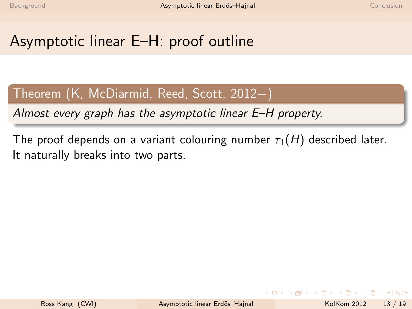# Asymptotic linear E–H: proof outline

### Theorem  $(K, McDiarmid, Reed, Scott, 2012+)$

Almost every graph has the asymptotic linear E–H property.

The proof depends on a variant colouring number  $\tau_1(H)$  described later. It naturally breaks into two parts.

 $\Omega$ 

母 ト イヨ ト イヨ ト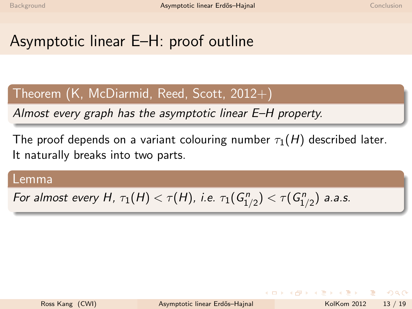# Asymptotic linear E–H: proof outline

### Theorem  $(K, McDiarmid, Reed, Scott, 2012+)$

Almost every graph has the asymptotic linear E–H property.

The proof depends on a variant colouring number  $\tau_1(H)$  described later. It naturally breaks into two parts.

#### Lemma

For almost every H,  $\tau_1(H) < \tau(H)$ , i.e.  $\tau_1(G_{1/2}^n) < \tau(G_{1/2}^n)$  a.a.s.

 $\Omega$ 

 $\left\{ \begin{array}{ccc} 1 & 0 & 0 \\ 0 & 1 & 0 \end{array} \right.$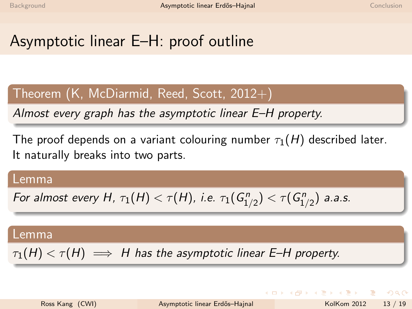# Asymptotic linear E–H: proof outline

### Theorem  $(K, McDiarmid, Reed, Scott, 2012+)$

Almost every graph has the asymptotic linear E–H property.

The proof depends on a variant colouring number  $\tau_1(H)$  described later. It naturally breaks into two parts.

#### Lemma

For almost every H,  $\tau_1(H) < \tau(H)$ , i.e.  $\tau_1(G_{1/2}^n) < \tau(G_{1/2}^n)$  a.a.s.

#### Lemma

 $\tau_1(H) < \tau(H) \implies H$  has the asymptotic linear E–H property.

<span id="page-20-0"></span> $\Omega$ 

 $A \cup B \rightarrow A \oplus B \rightarrow A \oplus B \rightarrow A \oplus B \rightarrow B$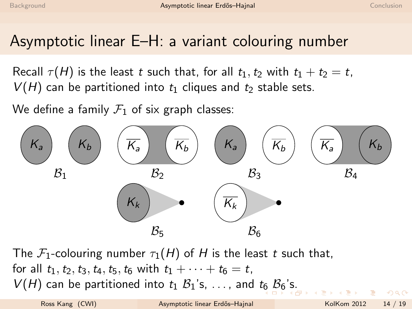### Asymptotic linear E–H: a variant colouring number

Recall  $\tau(H)$  is the least t such that, for all  $t_1, t_2$  with  $t_1 + t_2 = t$ ,  $V(H)$  can be partitioned into  $t_1$  cliques and  $t_2$  stable sets.

We define a family  $\mathcal{F}_1$  of six graph classes:



<span id="page-21-0"></span>The  $\mathcal{F}_1$ -colouring number  $\tau_1(H)$  of H is the least t such that, for all  $t_1, t_2, t_3, t_4, t_5, t_6$  with  $t_1 + \cdots + t_6 = t$ ,  $V(H)$  can be partitioned into  $t_1$   $\mathcal{B}_1$ ['s](#page-20-0), [.](#page-21-0).., and  $t_6$  $t_6$   $\mathcal{B}_6$ 's.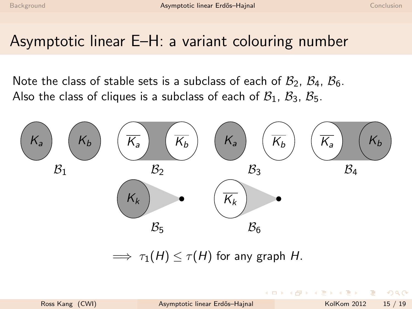### Asymptotic linear E–H: a variant colouring number

Note the class of stable sets is a subclass of each of  $B_2$ ,  $B_4$ ,  $B_6$ . Also the class of cliques is a subclass of each of  $B_1$ ,  $B_3$ ,  $B_5$ .



<span id="page-22-0"></span> $\implies \tau_1(H) \leq \tau(H)$  for any graph H.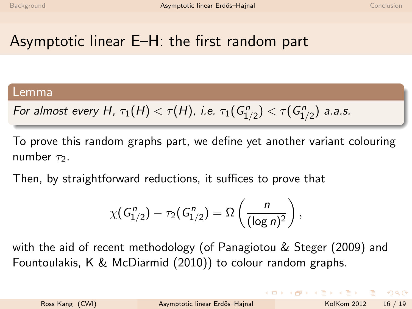# Asymptotic linear E–H: the first random part

#### Lemma

For almost every H, 
$$
\tau_1(H) < \tau(H)
$$
, i.e.  $\tau_1(G_{1/2}^n) < \tau(G_{1/2}^n)$  a.a.s.

To prove this random graphs part, we define yet another variant colouring number  $\tau_2$ .

Then, by straightforward reductions, it suffices to prove that

$$
\chi(G_{1/2}^n) - \tau_2(G_{1/2}^n) = \Omega\left(\frac{n}{(\log n)^2}\right),\,
$$

with the aid of recent methodology (of Panagiotou & Steger (2009) and Fountoulakis, K & McDiarmid (2010)) to colour random graphs.

 $\Omega$ 

イロト イ押ト イヨト イヨト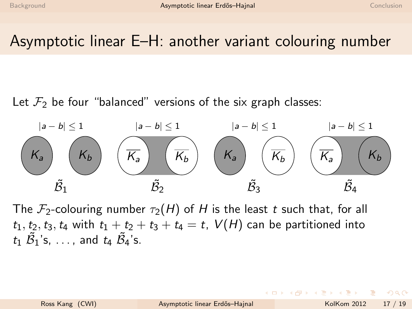## Asymptotic linear E–H: another variant colouring number

Let  $\mathcal{F}_2$  be four "balanced" versions of the six graph classes:



The  $\mathcal{F}_2$ -colouring number  $\tau_2(H)$  of H is the least t such that, for all  $t_1, t_2, t_3, t_4$  with  $t_1 + t_2 + t_3 + t_4 = t$ ,  $V(H)$  can be partitioned into  $t_1$   $\tilde{\mathcal{B}}_1$ 's, ..., and  $t_4$   $\tilde{\mathcal{B}}_4$ 's.

 $\Omega$ 

母 ト イヨ ト イヨ ト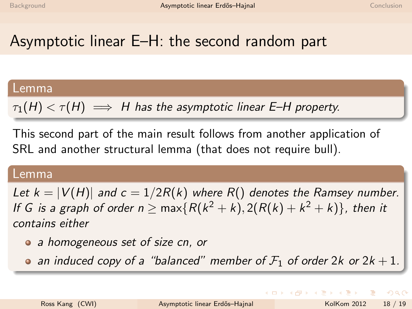# Asymptotic linear E–H: the second random part

#### Lemma

 $\tau_1(H) < \tau(H) \implies H$  has the asymptotic linear E–H property.

This second part of the main result follows from another application of SRL and another structural lemma (that does not require bull).

#### Lemma

Let  $k = |V(H)|$  and  $c = 1/2R(k)$  where  $R()$  denotes the Ramsey number. If G is a graph of order  $n \geq \max\{R(k^2 + k), 2(R(k) + k^2 + k)\}$ , then it contains either

- a homogeneous set of size cn, or
- an induced copy of a "balanced" member of  $\mathcal{F}_1$  of order 2k or 2k + 1.

**KOD KARD KED KED E MAA**